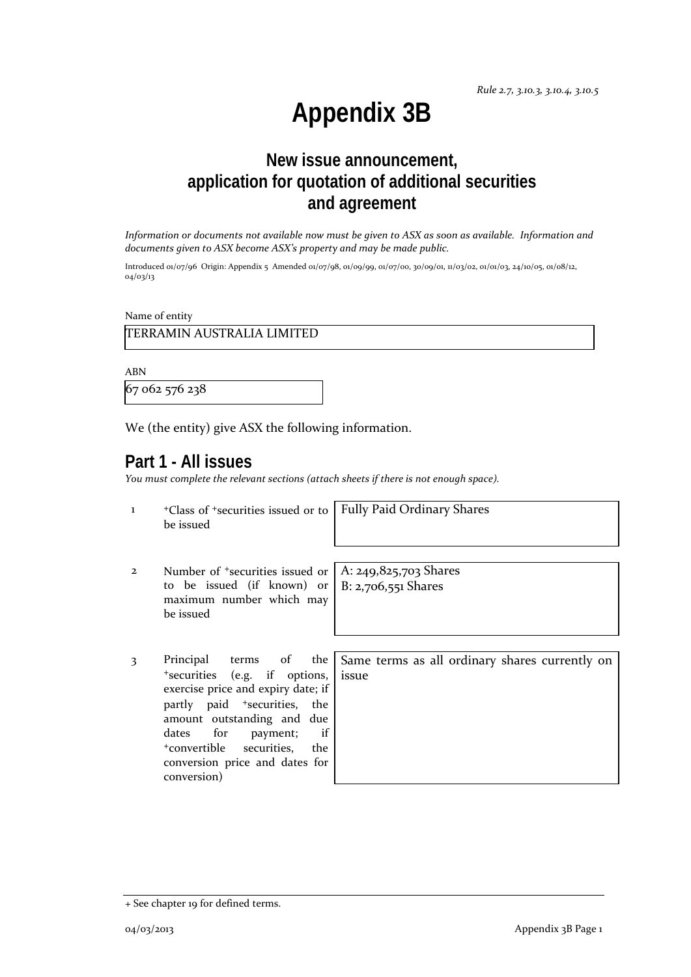# **Appendix 3B**

## **New issue announcement, application for quotation of additional securities and agreement**

*Information or documents not available now must be given to ASX as soon as available. Information and documents given to ASX become ASX's property and may be made public.*

Introduced 01/07/96 Origin: Appendix 5 Amended 01/07/98, 01/09/99, 01/07/00, 30/09/01, 11/03/02, 01/01/03, 24/10/05, 01/08/12, 04/03/13

Name of entity

TERRAMIN AUSTRALIA LIMITED

ABN

67 062 576 238

We (the entity) give ASX the following information.

#### **Part 1 - All issues**

*You must complete the relevant sections (attach sheets if there is not enough space).*

| $\mathbf{1}$   | <sup>+</sup> Class of <sup>+</sup> securities issued or to<br>be issued                                                                                                                                                                                                                    | <b>Fully Paid Ordinary Shares</b>                       |
|----------------|--------------------------------------------------------------------------------------------------------------------------------------------------------------------------------------------------------------------------------------------------------------------------------------------|---------------------------------------------------------|
| $\overline{2}$ | Number of <sup>+</sup> securities issued or<br>to be issued (if known) or $ B: 2,706,551$ Shares<br>maximum number which may<br>be issued                                                                                                                                                  | A: $249,825,703$ Shares                                 |
| 3              | Principal<br>terms of the<br>*securities (e.g. if options,<br>exercise price and expiry date; if<br>partly paid <sup>+</sup> securities, the<br>amount outstanding and due<br>dates for<br>if<br>payment;<br>+convertible securities, the<br>conversion price and dates for<br>conversion) | Same terms as all ordinary shares currently on<br>issue |

<sup>+</sup> See chapter 19 for defined terms.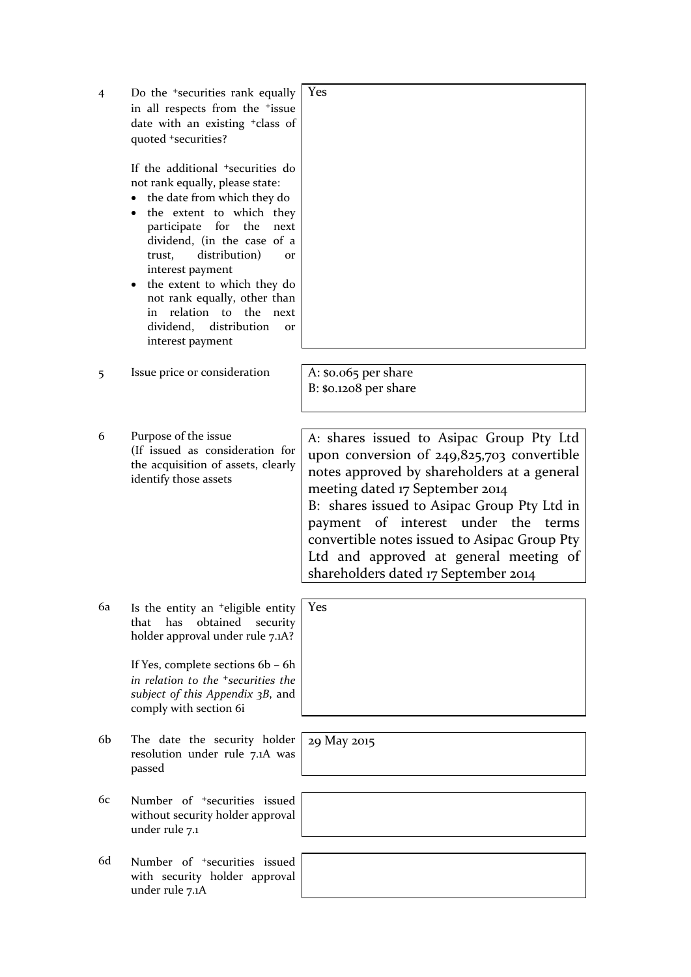| $\overline{4}$ | Do the <sup>+</sup> securities rank equally<br>in all respects from the <sup>+</sup> issue<br>date with an existing <sup>+</sup> class of<br>quoted +securities?<br>If the additional <sup>+</sup> securities do<br>not rank equally, please state:<br>the date from which they do<br>the extent to which they<br>for<br>the<br>participate<br>next<br>dividend, (in the case of a<br>distribution)<br>trust,<br><b>Or</b><br>interest payment<br>the extent to which they do<br>not rank equally, other than<br>relation to the<br>in<br>next<br>distribution<br>dividend,<br><b>or</b> | Yes                                                                                                                                                                                                                                                                                                                                                                                                |
|----------------|------------------------------------------------------------------------------------------------------------------------------------------------------------------------------------------------------------------------------------------------------------------------------------------------------------------------------------------------------------------------------------------------------------------------------------------------------------------------------------------------------------------------------------------------------------------------------------------|----------------------------------------------------------------------------------------------------------------------------------------------------------------------------------------------------------------------------------------------------------------------------------------------------------------------------------------------------------------------------------------------------|
|                | interest payment                                                                                                                                                                                                                                                                                                                                                                                                                                                                                                                                                                         |                                                                                                                                                                                                                                                                                                                                                                                                    |
| 5              | Issue price or consideration                                                                                                                                                                                                                                                                                                                                                                                                                                                                                                                                                             | A: $$0.065$ per share<br>$B: $o.1208$ per share                                                                                                                                                                                                                                                                                                                                                    |
| 6              | Purpose of the issue<br>(If issued as consideration for<br>the acquisition of assets, clearly<br>identify those assets                                                                                                                                                                                                                                                                                                                                                                                                                                                                   | A: shares issued to Asipac Group Pty Ltd<br>upon conversion of $249,825,703$ convertible<br>notes approved by shareholders at a general<br>meeting dated 17 September 2014<br>B: shares issued to Asipac Group Pty Ltd in<br>payment of interest under the terms<br>convertible notes issued to Asipac Group Pty<br>Ltd and approved at general meeting of<br>shareholders dated 17 September 2014 |
| 6a             | Is the entity an <sup>+</sup> eligible entity<br>has<br>obtained<br>that<br>security<br>holder approval under rule 7.1A?<br>If Yes, complete sections 6b - 6h<br>in relation to the <sup>+</sup> securities the<br>subject of this Appendix 3B, and<br>comply with section 6i                                                                                                                                                                                                                                                                                                            | Yes                                                                                                                                                                                                                                                                                                                                                                                                |
| 6b             | The date the security holder<br>resolution under rule 7.1A was<br>passed                                                                                                                                                                                                                                                                                                                                                                                                                                                                                                                 | 29 May 2015                                                                                                                                                                                                                                                                                                                                                                                        |
| 6с             | Number of <sup>+</sup> securities issued<br>without security holder approval<br>under rule 7.1                                                                                                                                                                                                                                                                                                                                                                                                                                                                                           |                                                                                                                                                                                                                                                                                                                                                                                                    |
| 6d             | Number of <sup>+</sup> securities issued<br>with security holder approval<br>under rule 7.1A                                                                                                                                                                                                                                                                                                                                                                                                                                                                                             |                                                                                                                                                                                                                                                                                                                                                                                                    |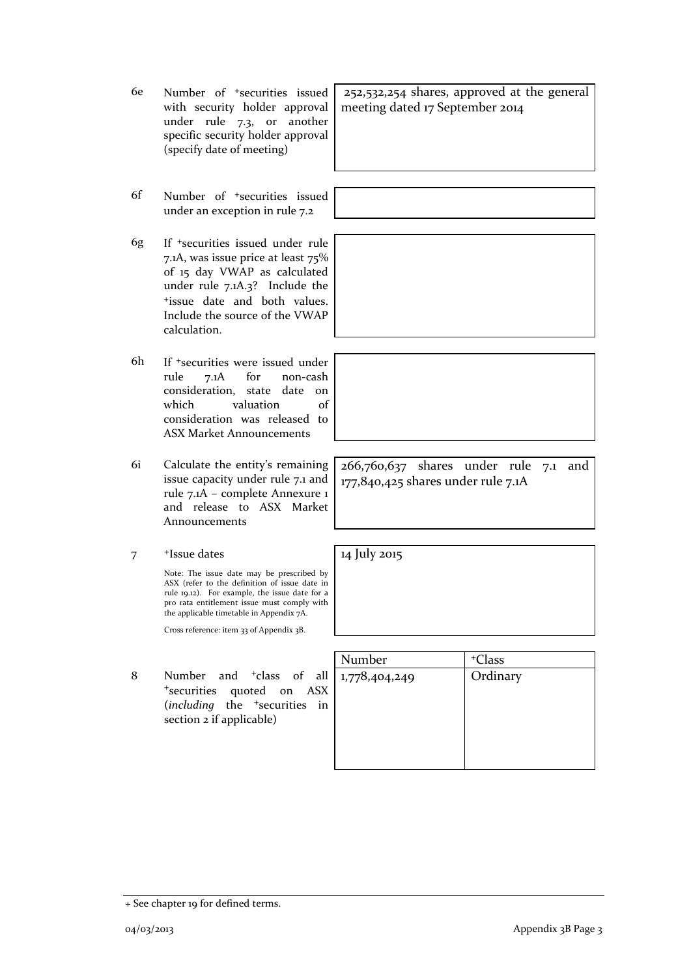- 6e Number of +securities issued with security holder approval under rule 7.3, or another specific security holder approval (specify date of meeting)
- 6f Number of +securities issued under an exception in rule 7.2
- 6g If +securities issued under rule 7.1A, was issue price at least 75% of 15 day VWAP as calculated under rule 7.1A.3? Include the +issue date and both values. Include the source of the VWAP calculation.
- 6h If +securities were issued under rule 7.1A for non-cash consideration, state date on which valuation of consideration was released to ASX Market Announcements
- 6i Calculate the entity's remaining issue capacity under rule 7.1 and rule 7.1A – complete Annexure 1 and release to ASX Market Announcements
- 7 +Issue dates

Note: The issue date may be prescribed by ASX (refer to the definition of issue date in rule 19.12). For example, the issue date for a pro rata entitlement issue must comply with the applicable timetable in Appendix 7A.

Cross reference: item 33 of Appendix 3B.

8 Number and <sup>+</sup>class of all <sup>+</sup>securities quoted on ASX (*including* the <sup>+</sup>securities in section 2 if applicable)

| Number        | <sup>+</sup> Class |
|---------------|--------------------|
| 1,778,404,249 | Ordinary           |
|               |                    |
|               |                    |
|               |                    |
|               |                    |
|               |                    |
|               |                    |

252,532,254 shares, approved at the general meeting dated 17 September 2014

266,760,637 shares under rule 7.1 and 177,840,425 shares under rule 7.1A

14 July 2015

<sup>+</sup> See chapter 19 for defined terms.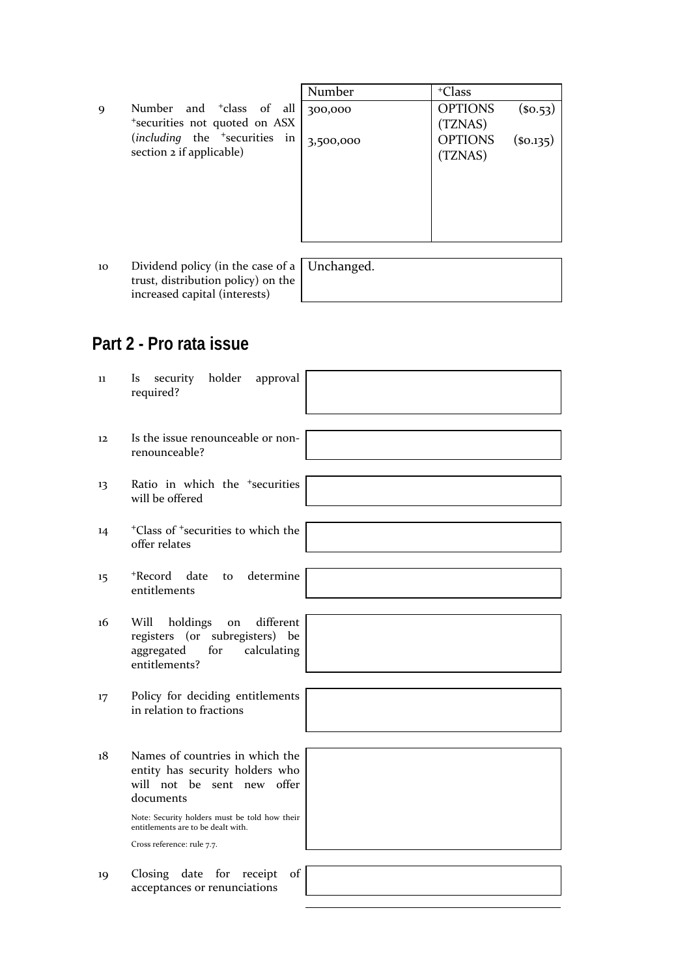|   |                                           | Number    | <sup>+</sup> Class         |
|---|-------------------------------------------|-----------|----------------------------|
| 9 | Number and <sup>+</sup> class of all      | 300,000   | <b>OPTIONS</b><br>(so.53)  |
|   | *securities not quoted on ASX             |           | (TZNAS)                    |
|   | (including the <sup>+</sup> securities in | 3,500,000 | <b>OPTIONS</b><br>(so.135) |
|   | section 2 if applicable)                  |           | (TZNAS)                    |
|   |                                           |           |                            |
|   |                                           |           |                            |
|   |                                           |           |                            |
|   |                                           |           |                            |
|   |                                           |           |                            |
|   |                                           | ___       |                            |

10 Dividend policy (in the case of a trust, distribution policy) on the increased capital (interests)

Unchanged.

# **Part 2 - Pro rata issue**

| 11                | holder<br>security<br>approval<br>Is<br>required?                                                                          |  |
|-------------------|----------------------------------------------------------------------------------------------------------------------------|--|
|                   |                                                                                                                            |  |
| $12 \overline{ }$ | Is the issue renounceable or non-<br>renounceable?                                                                         |  |
| 13                | Ratio in which the <sup>+</sup> securities<br>will be offered                                                              |  |
|                   |                                                                                                                            |  |
| 14                | <sup>+</sup> Class of <sup>+</sup> securities to which the<br>offer relates                                                |  |
|                   |                                                                                                                            |  |
| 15                | +Record date<br>determine<br>to<br>entitlements                                                                            |  |
|                   |                                                                                                                            |  |
| 16                | different<br>Will<br>holdings<br>on<br>registers (or subregisters) be<br>calculating<br>aggregated<br>for<br>entitlements? |  |
|                   |                                                                                                                            |  |
| 17                | Policy for deciding entitlements<br>in relation to fractions                                                               |  |
|                   |                                                                                                                            |  |
| 18                | Names of countries in which the<br>entity has security holders who<br>will not be sent new offer<br>documents              |  |
|                   | Note: Security holders must be told how their<br>entitlements are to be dealt with.                                        |  |
|                   | Cross reference: rule 7.7.                                                                                                 |  |
|                   |                                                                                                                            |  |
| 19                | Closing date for<br>of<br>receipt<br>acceptances or renunciations                                                          |  |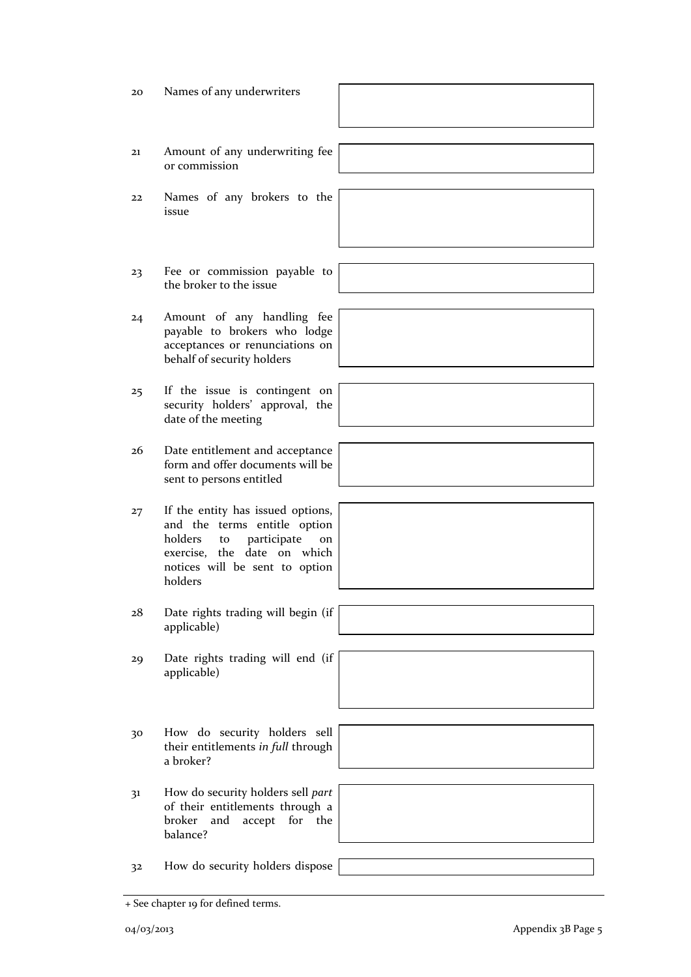04/03/2013 Appendix 3B Page 5

the broker to the issue payable to brokers who lodge acceptances or renunciations on behalf of security holders security holders' approval, the date of the meeting form and offer documents will be sent to persons entitled and the terms entitle option holders to participate on exercise, the date on which notices will be sent to option holders applicable) applicable) their entitlements *in full* through a broker? 31 How do security holders sell *part* of their entitlements through a broker and accept for the balance? 32 How do security holders dispose

or commission 22 Names of any brokers to the

issue

- 23 Fee or commission payable to
- 24 Amount of any handling fee
- 25 If the issue is contingent on
- 26 Date entitlement and acceptance
- 27 If the entity has issued options,
- 28 Date rights trading will begin (if
- 29 Date rights trading will end (if
- 30 How do security holders sell
- 

+ See chapter 19 for defined terms.



20 Names of any underwriters

21 Amount of any underwriting fee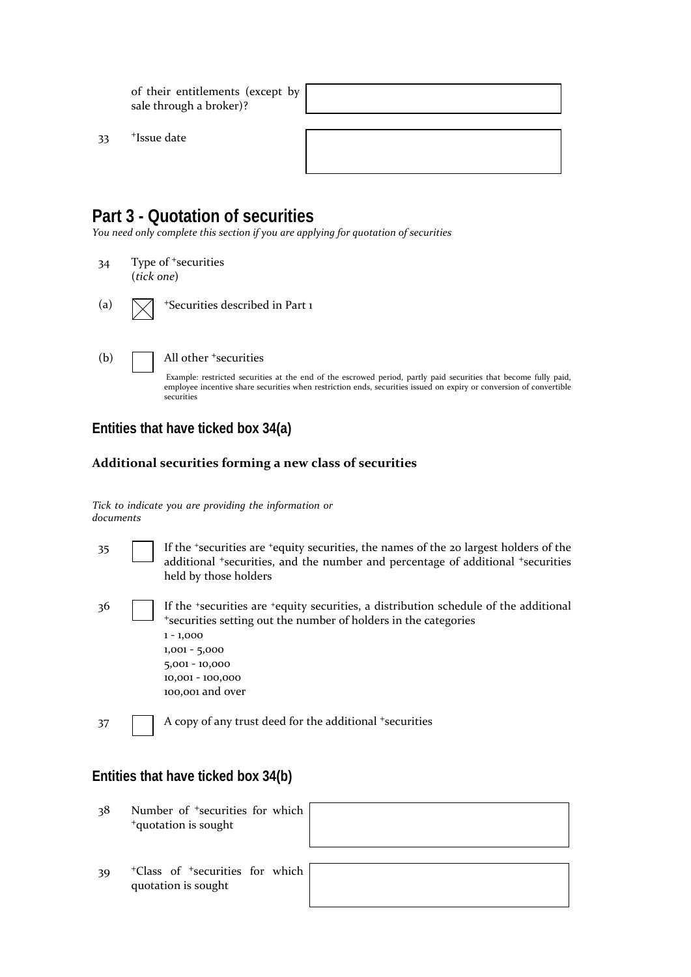of their entitlements (except by sale through a broker)?

33 <sup>+</sup>Issue date

### **Part 3 - Quotation of securities**

*You need only complete this section if you are applying for quotation of securities*

- 34 Type of <sup>+</sup>securities (*tick one*)
- (a)  $\sqrt{\phantom{a}}$  +Securities described in Part 1
- 

(b) All other <sup>+</sup>securities

Example: restricted securities at the end of the escrowed period, partly paid securities that become fully paid, employee incentive share securities when restriction ends, securities issued on expiry or conversion of convertible securities

#### **Entities that have ticked box 34(a)**

#### **Additional securities forming a new class of securities**

*Tick to indicate you are providing the information or documents*

| 35  | If the 'securities are 'equity securities, the names of the 20 largest holders of the<br>additional *securities, and the number and percentage of additional *securities<br>held by those holders                                                     |
|-----|-------------------------------------------------------------------------------------------------------------------------------------------------------------------------------------------------------------------------------------------------------|
| -36 | If the "securities are "equity securities, a distribution schedule of the additional<br>*securities setting out the number of holders in the categories<br>$1 - 1,000$<br>$1,001 - 5,000$<br>$5,001 - 10,000$<br>10,001 - 100,000<br>100,001 and over |
| 37  | A copy of any trust deed for the additional +securities                                                                                                                                                                                               |

#### **Entities that have ticked box 34(b)**

38 Number of <sup>+</sup>securities for which <sup>+</sup>quotation is sought

39 <sup>+</sup>Class of <sup>+</sup>securities for which quotation is sought

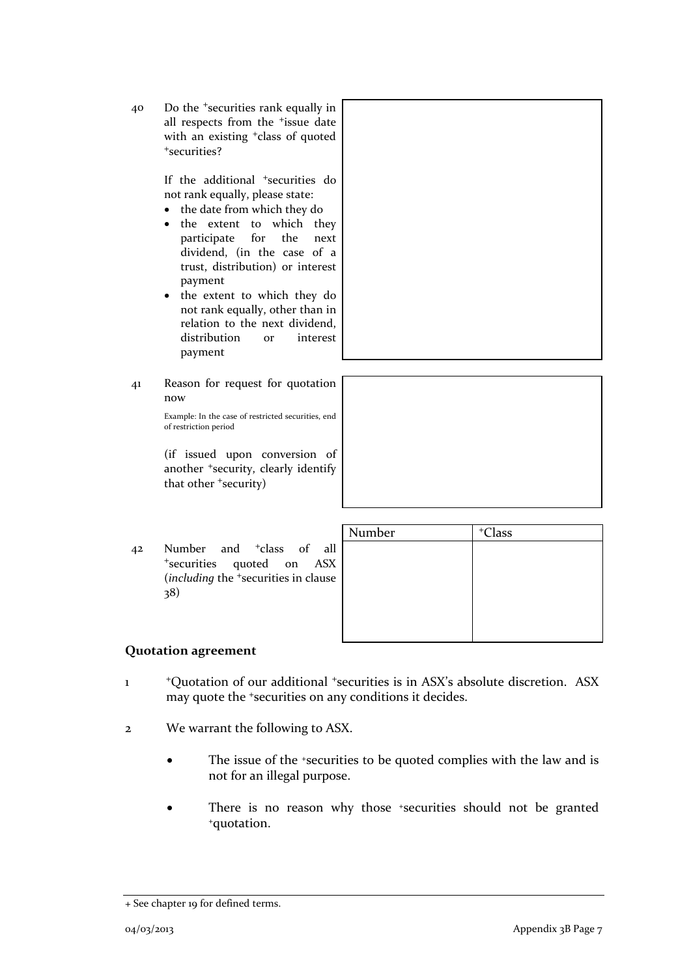40 Do the <sup>+</sup>securities rank equally in all respects from the <sup>+</sup>issue date with an existing <sup>+</sup>class of quoted <sup>+</sup>securities?

> If the additional <sup>+</sup>securities do not rank equally, please state:

- the date from which they do
- the extent to which they participate for the next dividend, (in the case of a trust, distribution) or interest payment
- the extent to which they do not rank equally, other than in relation to the next dividend, distribution or interest payment
- 41 Reason for request for quotation now

Example: In the case of restricted securities, end of restriction period

(if issued upon conversion of another <sup>+</sup>security, clearly identify that other <sup>+</sup>security)

42 Number and <sup>+</sup>class of all <sup>+</sup>securities quoted on ASX (*including* the <sup>+</sup>securities in clause 38)

| Number | <sup>+</sup> Class |
|--------|--------------------|
|        |                    |
|        |                    |
|        |                    |
|        |                    |
|        |                    |
|        |                    |
|        |                    |

#### **Quotation agreement**

- 1 <sup>+</sup>Quotation of our additional +securities is in ASX's absolute discretion. ASX may quote the +securities on any conditions it decides.
- 2 We warrant the following to ASX.
	- The issue of the +securities to be quoted complies with the law and is not for an illegal purpose.
	- There is no reason why those \*securities should not be granted \*quotation.

<sup>+</sup> See chapter 19 for defined terms.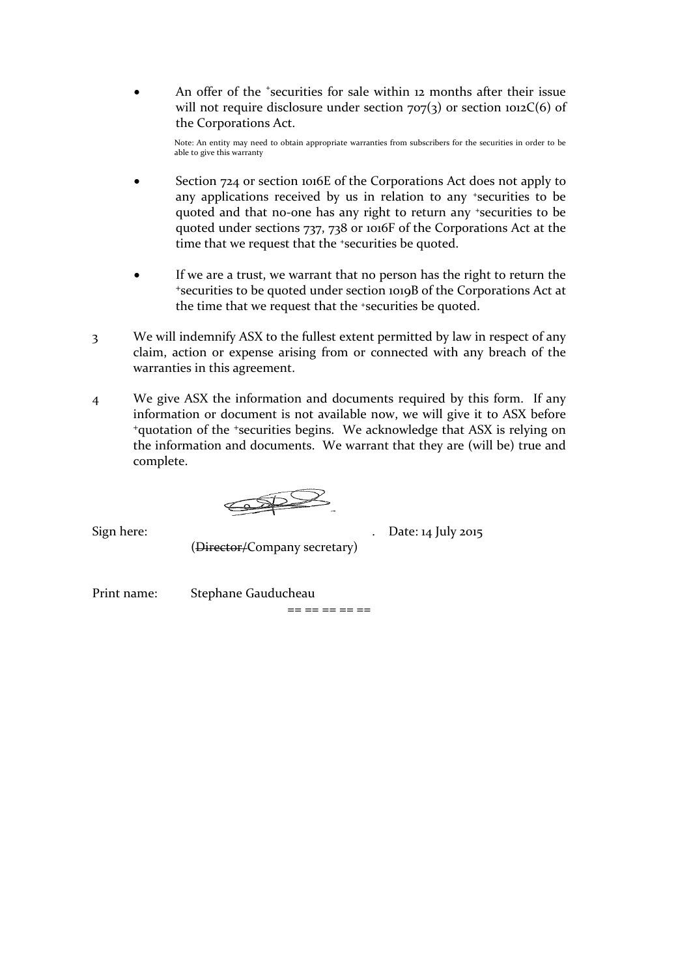• An offer of the *\*securities* for sale within 12 months after their issue will not require disclosure under section  $707(3)$  or section  $1012C(6)$  of the Corporations Act.

Note: An entity may need to obtain appropriate warranties from subscribers for the securities in order to be able to give this warranty

- Section 724 or section 1016E of the Corporations Act does not apply to any applications received by us in relation to any +securities to be quoted and that no-one has any right to return any +securities to be quoted under sections 737, 738 or 1016F of the Corporations Act at the time that we request that the <sup>+</sup>securities be quoted.
- If we are a trust, we warrant that no person has the right to return the <sup>+</sup>securities to be quoted under section 1019B of the Corporations Act at the time that we request that the +securities be quoted.
- 3 We will indemnify ASX to the fullest extent permitted by law in respect of any claim, action or expense arising from or connected with any breach of the warranties in this agreement.
- 4 We give ASX the information and documents required by this form. If any information or document is not available now, we will give it to ASX before <sup>+</sup>quotation of the +securities begins. We acknowledge that ASX is relying on the information and documents. We warrant that they are (will be) true and complete.

 $\bigoplus$ 

(Director/Company secretary)

Sign here: ... Date: 14 July 2015

Print name: Stephane Gauducheau

== == == == ==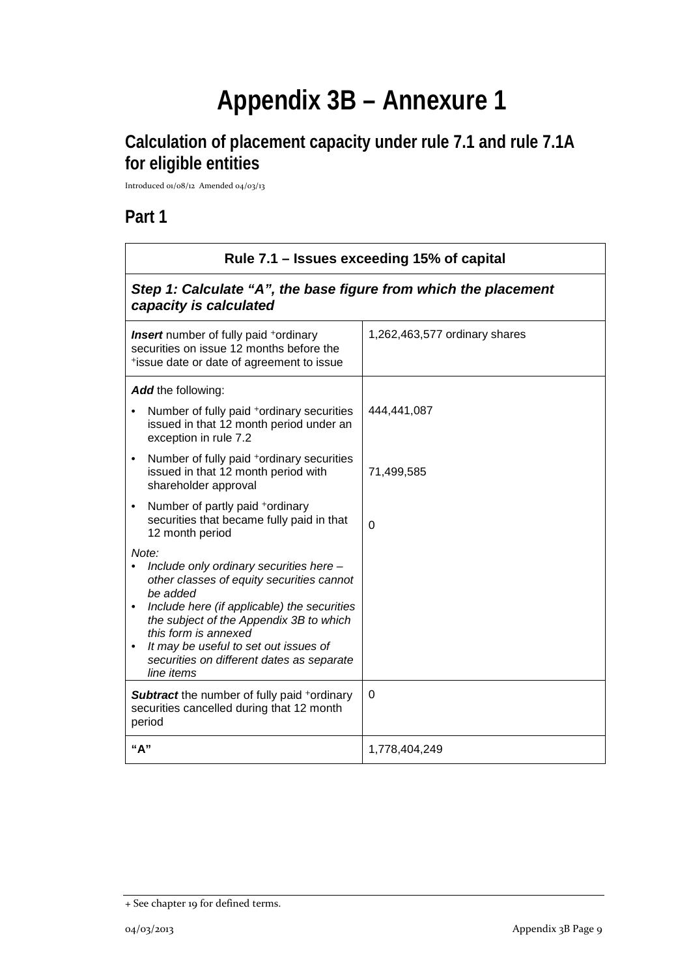# **Appendix 3B – Annexure 1**

# **Calculation of placement capacity under rule 7.1 and rule 7.1A for eligible entities**

Introduced 01/08/12 Amended 04/03/13

### **Part 1**

| Rule 7.1 – Issues exceeding 15% of capital                                                                                                                                                                                                                                                                                      |                               |  |
|---------------------------------------------------------------------------------------------------------------------------------------------------------------------------------------------------------------------------------------------------------------------------------------------------------------------------------|-------------------------------|--|
| Step 1: Calculate "A", the base figure from which the placement<br>capacity is calculated                                                                                                                                                                                                                                       |                               |  |
| <b>Insert</b> number of fully paid <sup>+</sup> ordinary<br>securities on issue 12 months before the<br>*issue date or date of agreement to issue                                                                                                                                                                               | 1,262,463,577 ordinary shares |  |
| Add the following:<br>Number of fully paid *ordinary securities<br>issued in that 12 month period under an<br>exception in rule 7.2                                                                                                                                                                                             | 444,441,087                   |  |
| Number of fully paid +ordinary securities<br>$\bullet$<br>issued in that 12 month period with<br>shareholder approval                                                                                                                                                                                                           | 71,499,585                    |  |
| Number of partly paid +ordinary<br>$\bullet$<br>securities that became fully paid in that<br>12 month period                                                                                                                                                                                                                    | $\overline{0}$                |  |
| Note:<br>Include only ordinary securities here -<br>other classes of equity securities cannot<br>be added<br>Include here (if applicable) the securities<br>the subject of the Appendix 3B to which<br>this form is annexed<br>It may be useful to set out issues of<br>securities on different dates as separate<br>line items |                               |  |
| <b>Subtract</b> the number of fully paid <sup>+</sup> ordinary<br>securities cancelled during that 12 month<br>period                                                                                                                                                                                                           | $\Omega$                      |  |
| "A"                                                                                                                                                                                                                                                                                                                             | 1,778,404,249                 |  |

<sup>+</sup> See chapter 19 for defined terms.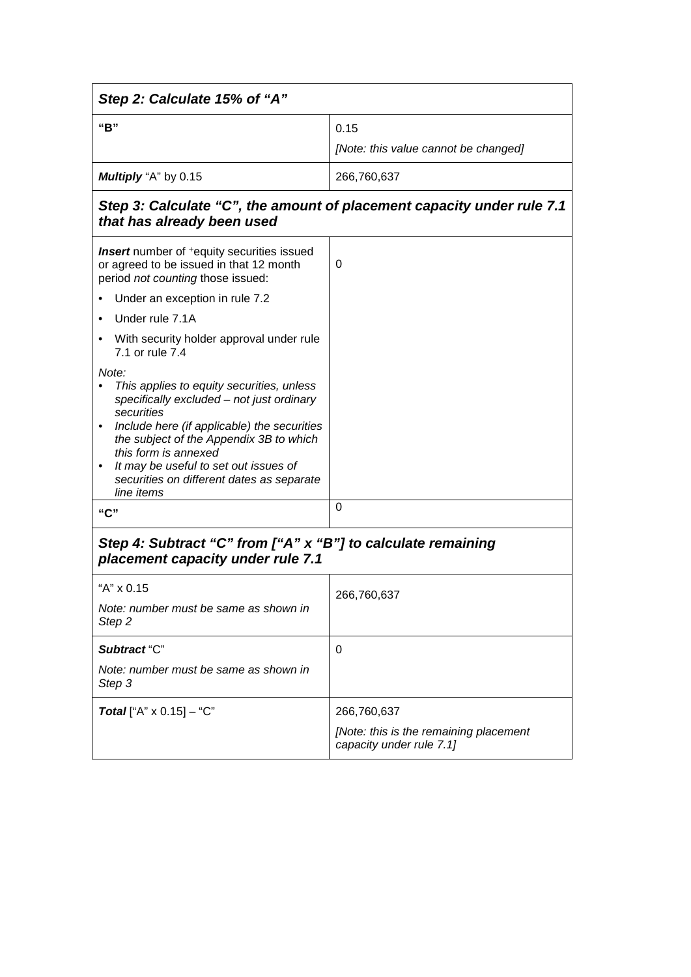| Step 2: Calculate 15% of "A"                                                                                                                                                                                                                                                                                                                     |                                                                    |  |
|--------------------------------------------------------------------------------------------------------------------------------------------------------------------------------------------------------------------------------------------------------------------------------------------------------------------------------------------------|--------------------------------------------------------------------|--|
| "B"                                                                                                                                                                                                                                                                                                                                              | 0.15<br>[Note: this value cannot be changed]                       |  |
| Multiply "A" by 0.15                                                                                                                                                                                                                                                                                                                             | 266,760,637                                                        |  |
| Step 3: Calculate "C", the amount of placement capacity under rule 7.1<br>that has already been used                                                                                                                                                                                                                                             |                                                                    |  |
| <b>Insert</b> number of <sup>+</sup> equity securities issued<br>or agreed to be issued in that 12 month<br>period not counting those issued:                                                                                                                                                                                                    | 0                                                                  |  |
| Under an exception in rule 7.2                                                                                                                                                                                                                                                                                                                   |                                                                    |  |
| Under rule 7.1A                                                                                                                                                                                                                                                                                                                                  |                                                                    |  |
| With security holder approval under rule<br>7.1 or rule 7.4                                                                                                                                                                                                                                                                                      |                                                                    |  |
| Note:<br>This applies to equity securities, unless<br>specifically excluded - not just ordinary<br>securities<br>Include here (if applicable) the securities<br>$\bullet$<br>the subject of the Appendix 3B to which<br>this form is annexed<br>It may be useful to set out issues of<br>securities on different dates as separate<br>line items |                                                                    |  |
| "C"                                                                                                                                                                                                                                                                                                                                              | 0                                                                  |  |
| Step 4: Subtract "C" from ["A" x "B"] to calculate remaining<br>placement capacity under rule 7.1                                                                                                                                                                                                                                                |                                                                    |  |
| "A" x 0.15                                                                                                                                                                                                                                                                                                                                       | 266,760,637                                                        |  |
| Note: number must be same as shown in<br>Step <sub>2</sub>                                                                                                                                                                                                                                                                                       |                                                                    |  |
| Subtract "C"                                                                                                                                                                                                                                                                                                                                     | 0                                                                  |  |
| Note: number must be same as shown in<br>Step 3                                                                                                                                                                                                                                                                                                  |                                                                    |  |
| <b>Total</b> ["A" $\times$ 0.15] – "C"                                                                                                                                                                                                                                                                                                           | 266,760,637                                                        |  |
|                                                                                                                                                                                                                                                                                                                                                  | [Note: this is the remaining placement<br>capacity under rule 7.1] |  |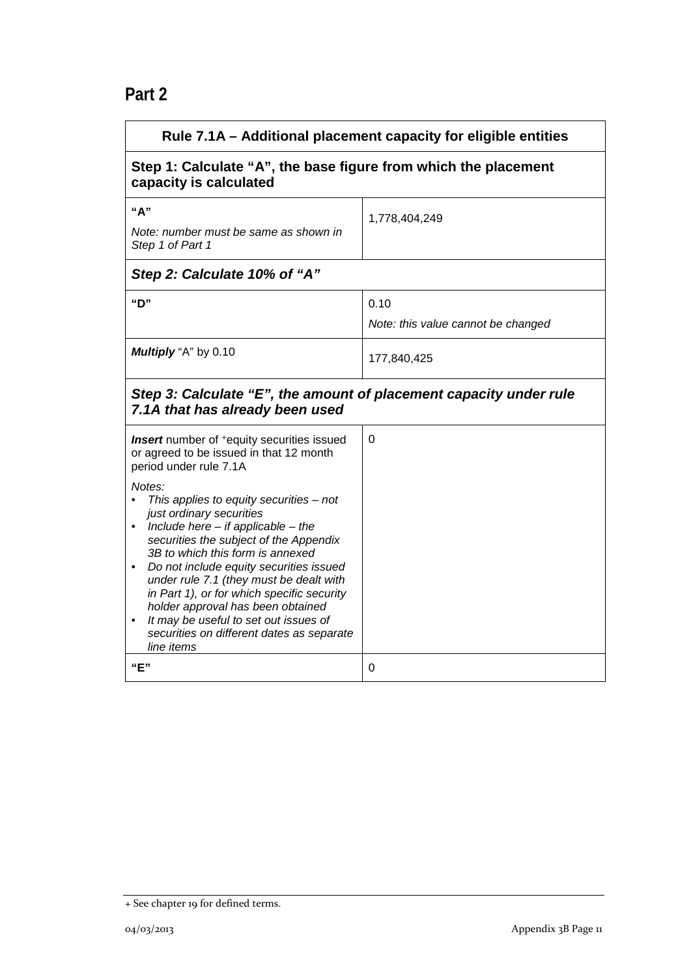## **Part 2**

| Rule 7.1A - Additional placement capacity for eligible entities                                                                                                                                                                                                                                                                                                                                                                                                                                                                                                                                                                         |                                            |  |
|-----------------------------------------------------------------------------------------------------------------------------------------------------------------------------------------------------------------------------------------------------------------------------------------------------------------------------------------------------------------------------------------------------------------------------------------------------------------------------------------------------------------------------------------------------------------------------------------------------------------------------------------|--------------------------------------------|--|
| Step 1: Calculate "A", the base figure from which the placement<br>capacity is calculated                                                                                                                                                                                                                                                                                                                                                                                                                                                                                                                                               |                                            |  |
| "A"<br>Note: number must be same as shown in<br>Step 1 of Part 1                                                                                                                                                                                                                                                                                                                                                                                                                                                                                                                                                                        | 1,778,404,249                              |  |
| Step 2: Calculate 10% of "A"                                                                                                                                                                                                                                                                                                                                                                                                                                                                                                                                                                                                            |                                            |  |
| "D"                                                                                                                                                                                                                                                                                                                                                                                                                                                                                                                                                                                                                                     | 0.10<br>Note: this value cannot be changed |  |
| Multiply "A" by 0.10                                                                                                                                                                                                                                                                                                                                                                                                                                                                                                                                                                                                                    | 177,840,425                                |  |
| Step 3: Calculate "E", the amount of placement capacity under rule<br>7.1A that has already been used                                                                                                                                                                                                                                                                                                                                                                                                                                                                                                                                   |                                            |  |
| <b>Insert</b> number of <sup>+</sup> equity securities issued<br>or agreed to be issued in that 12 month<br>period under rule 7.1A<br>Notes:<br>This applies to equity securities $-$ not<br>just ordinary securities<br>Include here $-$ if applicable $-$ the<br>$\bullet$<br>securities the subject of the Appendix<br>3B to which this form is annexed<br>Do not include equity securities issued<br>under rule 7.1 (they must be dealt with<br>in Part 1), or for which specific security<br>holder approval has been obtained<br>It may be useful to set out issues of<br>securities on different dates as separate<br>line items | $\mathbf 0$                                |  |
| "E"                                                                                                                                                                                                                                                                                                                                                                                                                                                                                                                                                                                                                                     | 0                                          |  |

<sup>+</sup> See chapter 19 for defined terms.